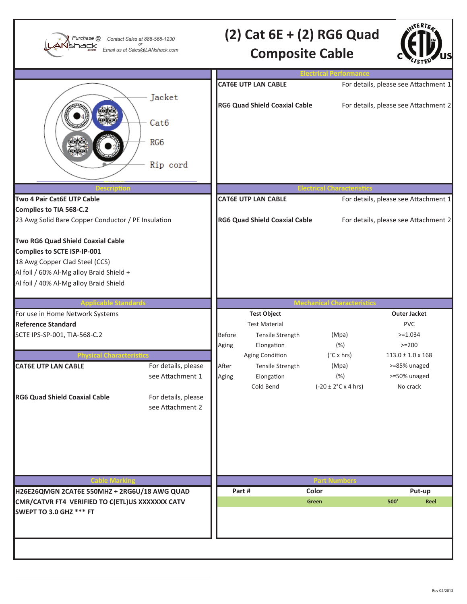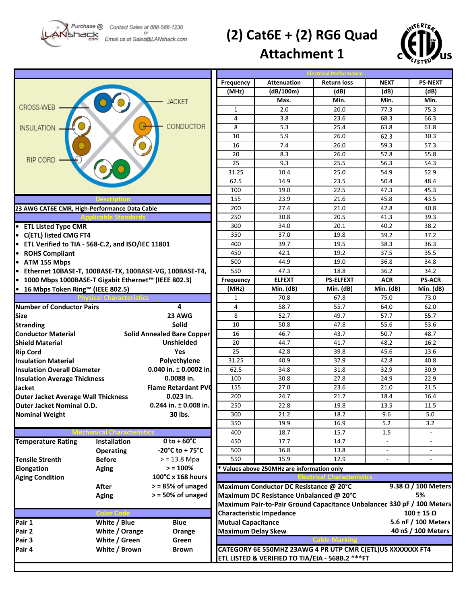4shack

## **(2) Cat6E + (2) RG6 Quad**



## **Attachment 1**

|                                                                        |                     |                                   | Frequency                                                                                                             | <b>Attenuation</b>                                                     | <b>Return loss</b>       | <b>NEXT</b>              | <b>PS-NEXT</b>           |
|------------------------------------------------------------------------|---------------------|-----------------------------------|-----------------------------------------------------------------------------------------------------------------------|------------------------------------------------------------------------|--------------------------|--------------------------|--------------------------|
|                                                                        |                     |                                   | (MHz)                                                                                                                 | (dB/100m)                                                              | (dB)                     | (dB)                     | (dB)                     |
|                                                                        |                     | <b>JACKET</b>                     |                                                                                                                       | Max.                                                                   | Min.                     | Min.                     | Min.                     |
| <b>CROSS-WEB</b>                                                       |                     |                                   | $\mathbf{1}$                                                                                                          | 2.0                                                                    | 20.0                     | 77.3                     | 75.3                     |
|                                                                        |                     |                                   | 4                                                                                                                     | 3.8                                                                    | 23.6                     | 68.3                     | 66.3                     |
| <b>INSULATION</b>                                                      |                     | <b>CONDUCTOR</b>                  | 8                                                                                                                     | 5.3                                                                    | 25.4                     | 63.8                     | 61.8                     |
|                                                                        |                     |                                   | 10                                                                                                                    | 5.9                                                                    | 26.0                     | 62.3                     | 30.3                     |
|                                                                        |                     |                                   | 16                                                                                                                    | 7.4                                                                    | 26.0                     | 59.3                     | 57.3                     |
|                                                                        |                     |                                   | 20                                                                                                                    | 8.3                                                                    | 26.0                     | 57.8                     | 55.8                     |
| <b>RIP CORD</b>                                                        |                     |                                   | 25                                                                                                                    | 9.3                                                                    | 25.5                     | 56.3                     | 54.3                     |
|                                                                        |                     |                                   | 31.25                                                                                                                 | 10.4                                                                   | 25.0                     | 54.9                     | 52.9                     |
|                                                                        |                     |                                   | 62.5                                                                                                                  | 14.9                                                                   | 23.5                     | 50.4                     | 48.4                     |
|                                                                        |                     |                                   | 100                                                                                                                   | 19.0                                                                   | 22.5                     | 47.3                     | 45.3                     |
|                                                                        |                     |                                   | 155                                                                                                                   | 23.9                                                                   | 21.6                     | 45.8                     | 43.5                     |
| 23 AWG CAT6E CMR, High-Performance Data Cable                          |                     |                                   | 200                                                                                                                   | 27.4                                                                   | 21.0                     | 42.8                     | 40.8                     |
|                                                                        |                     |                                   | 250                                                                                                                   | 30.8                                                                   | 20.5                     | 41.3                     | 39.3                     |
| • ETL Listed Type CMR                                                  |                     |                                   | 300                                                                                                                   | 34.0                                                                   | 20.1                     | 40.2                     | 38.2                     |
| • C(ETL) listed CMG FT4                                                |                     |                                   | 350                                                                                                                   | 37.0                                                                   | 19.8                     | 39.2                     | 37.2                     |
|                                                                        |                     |                                   | 400                                                                                                                   | 39.7                                                                   | 19.5                     | 38.3                     | 36.3                     |
| • ETL Verified to TIA - 568-C.2, and ISO/IEC 11801<br>• ROHS Compliant |                     |                                   | 450                                                                                                                   | 42.1                                                                   | 19.2                     | 37.5                     | 35.5                     |
|                                                                        |                     |                                   | 500                                                                                                                   |                                                                        |                          |                          |                          |
| • ATM 155 Mbps                                                         |                     |                                   | 550                                                                                                                   | 44.9                                                                   | 19.0                     | 36.8                     | 34.8<br>34.2             |
| • Ethernet 10BASE-T, 100BASE-TX, 100BASE-VG, 100BASE-T4,               |                     |                                   |                                                                                                                       | 47.3<br><b>ELFEXT</b>                                                  | 18.8<br><b>PS-ELFEXT</b> | 36.2                     | <b>PS-ACR</b>            |
| ● 1000 Mbps 1000BASE-T Gigabit Ethernet™ (IEEE 802.3)                  |                     |                                   | Frequency                                                                                                             |                                                                        |                          | <b>ACR</b>               |                          |
| ● 16 Mbps Token Ring™ (IEEE 802.5)                                     |                     |                                   | (MHz)                                                                                                                 | Min. (dB)                                                              | Min. (dB)                | Min. (dB)                | Min. (dB)                |
|                                                                        |                     |                                   | 1                                                                                                                     | 70.8                                                                   | 67.8                     | 75.0                     | 73.0                     |
| <b>Number of Conductor Pairs</b>                                       |                     | 4                                 | 4                                                                                                                     | 58.7                                                                   | 55.7                     | 64.0                     | 62.0                     |
| Size                                                                   |                     | 23 AWG                            | 8                                                                                                                     | 52.7                                                                   | 49.7                     | 57.7                     | 55.7                     |
| <b>Stranding</b>                                                       |                     | <b>Solid</b>                      | 10                                                                                                                    | 50.8                                                                   | 47.8                     | 55.6                     | 53.6                     |
| <b>Conductor Material</b>                                              |                     | <b>Solid Annealed Bare Copper</b> | 16                                                                                                                    | 46.7                                                                   | 43.7                     | 50.7                     | 48.7                     |
| Shield Material                                                        |                     | <b>Unshielded</b>                 | 20                                                                                                                    | 44.7                                                                   | 41.7                     | 48.2                     | 16.2                     |
| <b>Rip Cord</b>                                                        |                     | Yes                               | 25                                                                                                                    | 42.8                                                                   | 39.8                     | 45.6                     | 13.6                     |
| <b>Insulation Material</b>                                             |                     | Polyethylene                      | 31.25                                                                                                                 | 40.9                                                                   | 37.9                     | 42.8                     | 40.8                     |
| <b>Insulation Overall Diameter</b>                                     |                     | 0.040 in. $\pm$ 0.0002 in.        | 62.5                                                                                                                  | 34.8                                                                   | 31.8                     | 32.9                     | 30.9                     |
| <b>Insulation Average Thickness</b>                                    |                     | 0.0088 in.                        | 100                                                                                                                   | 30.8                                                                   | 27.8                     | 24.9                     | 22.9                     |
| Jacket                                                                 |                     | <b>Flame Retardant PVC</b>        | 155                                                                                                                   | 27.0                                                                   | 23.6                     | 21.0                     | 21.5                     |
| <b>Outer Jacket Average Wall Thickness</b>                             |                     | $0.023$ in.                       | 200                                                                                                                   | 24.7                                                                   | 21.7                     | 18.4                     | 16.4                     |
| $0.244$ in. $\pm$ 0.008 in.<br><b>Outer Jacket Nominal O.D.</b>        |                     |                                   | 250                                                                                                                   | 22.8                                                                   | 19.8                     | 13.5                     | 11.5                     |
| <b>Nominal Weight</b>                                                  |                     | 30 lbs.                           | 300                                                                                                                   | 21.2                                                                   | 18.2                     | 9.6                      | 5.0                      |
|                                                                        |                     |                                   | 350                                                                                                                   | 19.9                                                                   | 16.9                     | 5.2                      | 3.2                      |
|                                                                        |                     |                                   | 400                                                                                                                   | 18.7                                                                   | 15.7                     | 1.5                      |                          |
| <b>Temperature Rating</b>                                              | <b>Installation</b> | $0 to + 60^{\circ}C$              | 450                                                                                                                   | 17.7                                                                   | 14.7                     | $\overline{\phantom{a}}$ | $\overline{\phantom{a}}$ |
|                                                                        | <b>Operating</b>    | -20°C to + 75°C                   | 500                                                                                                                   | 16.8                                                                   | 13.8                     |                          | $\overline{\phantom{a}}$ |
| <b>Tensile Strenth</b>                                                 | <b>Before</b>       | $> 13.8$ Mpa                      | 550                                                                                                                   | 15.9                                                                   | 12.9                     | $\overline{\phantom{a}}$ | $\sim$                   |
| Elongation                                                             | <b>Aging</b>        | $> 100\%$                         |                                                                                                                       | * Values above 250MHz are information only                             |                          |                          |                          |
| <b>Aging Condition</b>                                                 |                     | 100°C x 168 hours                 | Maximum Conductor DC Resistance @ 20°C<br>$9.38 \Omega / 100$ Meters<br>Maximum DC Resistance Unbalanced @ 20°C<br>5% |                                                                        |                          |                          |                          |
|                                                                        | After               | $>$ = 85% of unaged               |                                                                                                                       |                                                                        |                          |                          |                          |
|                                                                        | <b>Aging</b>        | $>$ = 50% of unaged               |                                                                                                                       |                                                                        |                          |                          |                          |
|                                                                        |                     |                                   |                                                                                                                       | Maximum Pair-to-Pair Ground Capacitance Unbalanced 330 pF / 100 Meters |                          |                          |                          |
|                                                                        |                     |                                   |                                                                                                                       | <b>Characteristic Impedance</b>                                        |                          |                          | $100 \pm 15 \Omega$      |
| Pair 1                                                                 | White / Blue        | <b>Blue</b>                       | 5.6 nF / 100 Meters<br><b>Mutual Capacitance</b>                                                                      |                                                                        |                          |                          |                          |
| Pair 2                                                                 | White / Orange      | Orange                            | <b>Maximum Delay Skew</b>                                                                                             |                                                                        |                          |                          | 40 nS / 100 Meters       |
| Pair 3                                                                 | White / Green       | Green                             |                                                                                                                       |                                                                        |                          |                          |                          |
| Pair 4                                                                 | White / Brown       |                                   |                                                                                                                       | CATEGORY 6E 550MHZ 23AWG 4 PR UTP CMR C(ETL)US XXXXXXX FT4             |                          |                          |                          |
|                                                                        |                     | <b>Brown</b>                      |                                                                                                                       |                                                                        |                          |                          |                          |
|                                                                        |                     |                                   |                                                                                                                       | ETL LISTED & VERIFIED TO TIA/EIA - 568B.2 *** FT                       |                          |                          |                          |